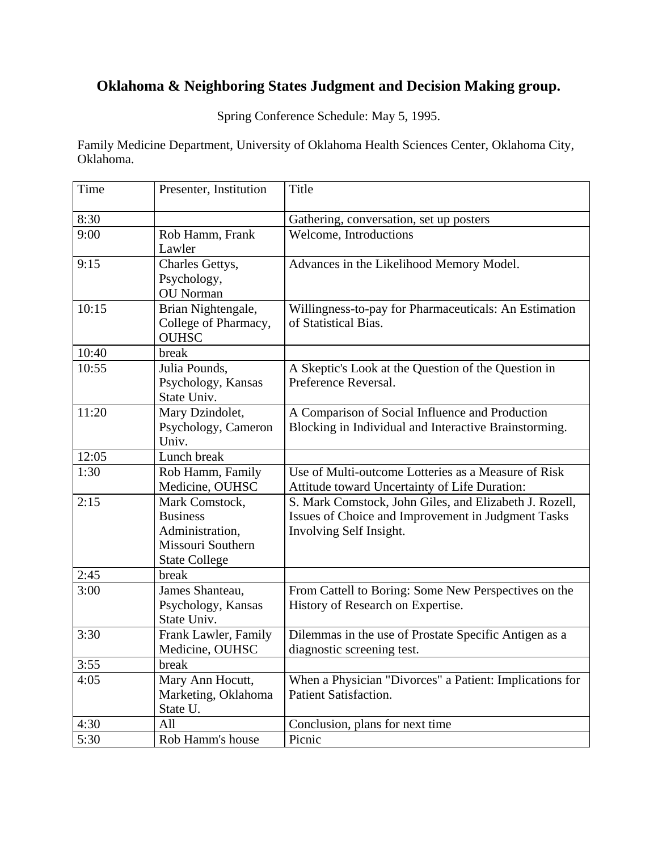## **Oklahoma & Neighboring States Judgment and Decision Making group.**

Spring Conference Schedule: May 5, 1995.

Family Medicine Department, University of Oklahoma Health Sciences Center, Oklahoma City, Oklahoma.

| Time  | Presenter, Institution                                                                            | Title                                                                                                                                   |
|-------|---------------------------------------------------------------------------------------------------|-----------------------------------------------------------------------------------------------------------------------------------------|
| 8:30  |                                                                                                   | Gathering, conversation, set up posters                                                                                                 |
| 9:00  | Rob Hamm, Frank<br>Lawler                                                                         | Welcome, Introductions                                                                                                                  |
| 9:15  | Charles Gettys,<br>Psychology,<br><b>OU</b> Norman                                                | Advances in the Likelihood Memory Model.                                                                                                |
| 10:15 | Brian Nightengale,<br>College of Pharmacy,<br><b>OUHSC</b>                                        | Willingness-to-pay for Pharmaceuticals: An Estimation<br>of Statistical Bias.                                                           |
| 10:40 | break                                                                                             |                                                                                                                                         |
| 10:55 | Julia Pounds,<br>Psychology, Kansas<br>State Univ.                                                | A Skeptic's Look at the Question of the Question in<br>Preference Reversal.                                                             |
| 11:20 | Mary Dzindolet,<br>Psychology, Cameron<br>Univ.                                                   | A Comparison of Social Influence and Production<br>Blocking in Individual and Interactive Brainstorming.                                |
| 12:05 | Lunch break                                                                                       |                                                                                                                                         |
| 1:30  | Rob Hamm, Family<br>Medicine, OUHSC                                                               | Use of Multi-outcome Lotteries as a Measure of Risk<br>Attitude toward Uncertainty of Life Duration:                                    |
| 2:15  | Mark Comstock,<br><b>Business</b><br>Administration,<br>Missouri Southern<br><b>State College</b> | S. Mark Comstock, John Giles, and Elizabeth J. Rozell,<br>Issues of Choice and Improvement in Judgment Tasks<br>Involving Self Insight. |
| 2:45  | break                                                                                             |                                                                                                                                         |
| 3:00  | James Shanteau,<br>Psychology, Kansas<br>State Univ.                                              | From Cattell to Boring: Some New Perspectives on the<br>History of Research on Expertise.                                               |
| 3:30  | Frank Lawler, Family<br>Medicine, OUHSC                                                           | Dilemmas in the use of Prostate Specific Antigen as a<br>diagnostic screening test.                                                     |
| 3:55  | break                                                                                             |                                                                                                                                         |
| 4:05  | Mary Ann Hocutt,<br>Marketing, Oklahoma<br>State U.                                               | When a Physician "Divorces" a Patient: Implications for<br><b>Patient Satisfaction.</b>                                                 |
| 4:30  | All                                                                                               | Conclusion, plans for next time                                                                                                         |
| 5:30  | Rob Hamm's house                                                                                  | Picnic                                                                                                                                  |